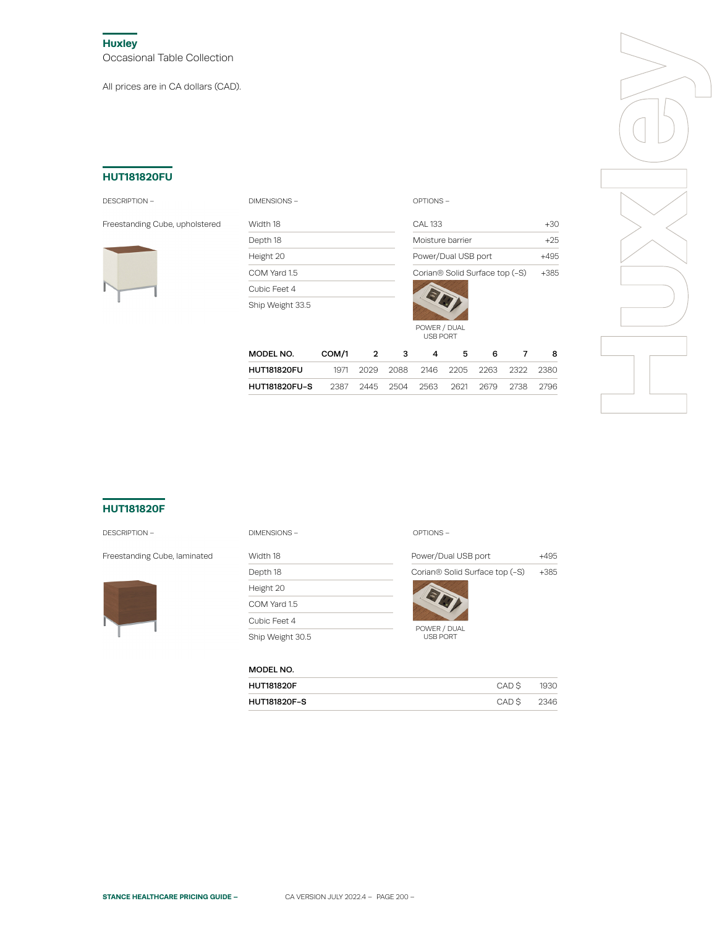**Huxley** Occasional Table Collection

All prices are in CA dollars (CAD).

### **HUT181820FU**

#### DESCRIPTION – DIMENSIONS – OPTIONS –

Freestanding Cube, upholstered Width 18



| <b>DIMENSIONS</b> |
|-------------------|
|-------------------|

Depth 18 Height 20 COM Yard 1.5 Cubic Feet 4 Ship Weight 33.5

| CAI 133                                    | $+3()$ |
|--------------------------------------------|--------|
| Moisture barrier                           | $+25$  |
| Power/Dual USB port                        |        |
| Corian <sup>®</sup> Solid Surface top (-S) | +385   |

|                                                        |           |  | USB PORT       |     |                                         |   |
|--------------------------------------------------------|-----------|--|----------------|-----|-----------------------------------------|---|
| MODEL NO.                                              | COM/1 2 3 |  | $\overline{4}$ | - 5 | 6                                       | 8 |
| <b>HUT181820FU</b>                                     |           |  |                |     | 1971 2029 2088 2146 2205 2263 2322 2380 |   |
| HUT181820FU-S  2387 2445 2504 2563 2621 2679 2738 2796 |           |  |                |     |                                         |   |

POWER / DUAL



# **HUT181820F**

#### DESCRIPTION –



| <b>DESCRIPTION -</b>         | OPTIONS-<br>DIMENSIONS- |                                            |        |
|------------------------------|-------------------------|--------------------------------------------|--------|
| Freestanding Cube, laminated | Width 18                | Power/Dual USB port                        | $+495$ |
|                              | Depth 18                | Corian <sup>®</sup> Solid Surface top (-S) | $+385$ |
|                              | Height 20               |                                            |        |
|                              | COM Yard 1.5            |                                            |        |
|                              | Cubic Feet 4            |                                            |        |
|                              | Ship Weight 30.5        | POWER / DUAL<br><b>USB PORT</b>            |        |

## MODEL NO.

| <b>HUT181820F</b>   | CAD S | 1930 |
|---------------------|-------|------|
| <b>HUT181820F-S</b> | CAD S | 2346 |